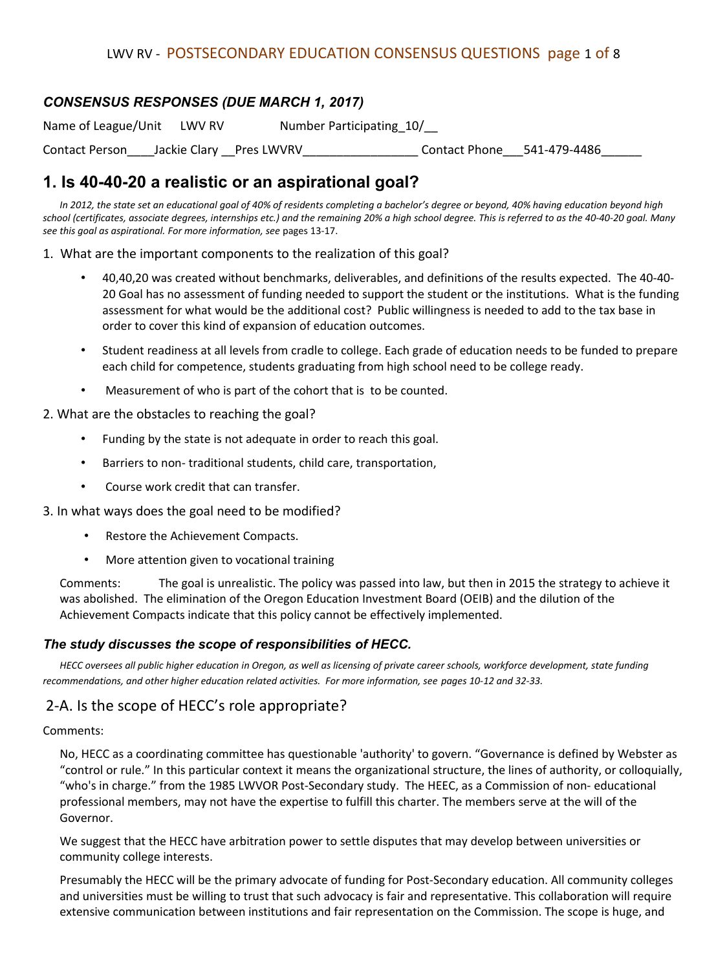### *CONSENSUS RESPONSES (DUE MARCH 1, 2017)*

Name of League/Unit LWV RV Number Participating 10/

Contact Person Lackie Clary Pres LWVRV Contact Phone 541-479-4486

# **1. Is 40-40-20 a realistic or an aspirational goal?**

*In 2012, the state set an educational goal of 40% of residents completing a bachelor's degree or beyond, 40% having education beyond high school (certificates, associate degrees, internships etc.) and the remaining 20% a high school degree. This is referred to as the 40-40-20 goal. Many see this goal as aspirational. For more information, see* pages 13-17.

1. What are the important components to the realization of this goal?

- 40,40,20 was created without benchmarks, deliverables, and definitions of the results expected. The 40-40- 20 Goal has no assessment of funding needed to support the student or the institutions. What is the funding assessment for what would be the additional cost? Public willingness is needed to add to the tax base in order to cover this kind of expansion of education outcomes.
- Student readiness at all levels from cradle to college. Each grade of education needs to be funded to prepare each child for competence, students graduating from high school need to be college ready.
- Measurement of who is part of the cohort that is to be counted.

#### 2. What are the obstacles to reaching the goal?

- Funding by the state is not adequate in order to reach this goal.
- Barriers to non- traditional students, child care, transportation,
- Course work credit that can transfer.

3. In what ways does the goal need to be modified?

- Restore the Achievement Compacts.
- More attention given to vocational training

Comments: The goal is unrealistic. The policy was passed into law, but then in 2015 the strategy to achieve it was abolished. The elimination of the Oregon Education Investment Board (OEIB) and the dilution of the Achievement Compacts indicate that this policy cannot be effectively implemented.

#### *The study discusses the scope of responsibilities of HECC.*

*HECC oversees all public higher education in Oregon, as well as licensing of private career schools, workforce development, state funding recommendations, and other higher education related activities. For more information, see pages 10-12 and 32-33.*

### 2-A. Is the scope of HECC's role appropriate?

#### Comments:

No, HECC as a coordinating committee has questionable 'authority' to govern. "Governance is defined by Webster as "control or rule." In this particular context it means the organizational structure, the lines of authority, or colloquially, "who's in charge." from the 1985 LWVOR Post-Secondary study. The HEEC, as a Commission of non- educational professional members, may not have the expertise to fulfill this charter. The members serve at the will of the Governor.

We suggest that the HECC have arbitration power to settle disputes that may develop between universities or community college interests.

Presumably the HECC will be the primary advocate of funding for Post-Secondary education. All community colleges and universities must be willing to trust that such advocacy is fair and representative. This collaboration will require extensive communication between institutions and fair representation on the Commission. The scope is huge, and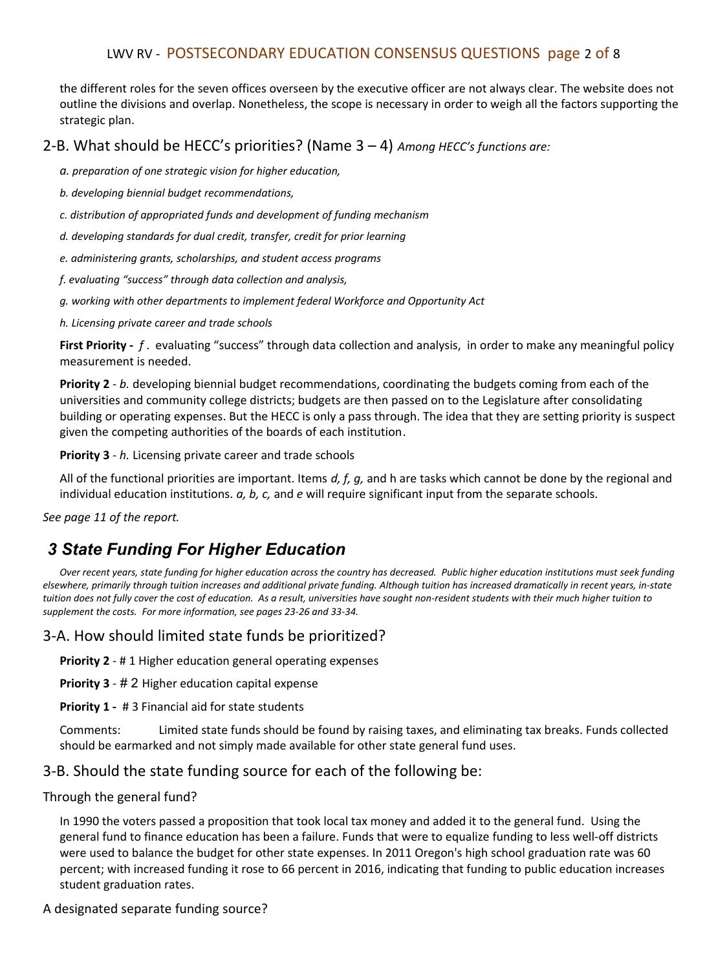### LWV RV - POSTSECONDARY EDUCATION CONSENSUS QUESTIONS page 2 of 8

the different roles for the seven offices overseen by the executive officer are not always clear. The website does not outline the divisions and overlap. Nonetheless, the scope is necessary in order to weigh all the factors supporting the strategic plan.

### 2-B. What should be HECC's priorities? (Name 3 – 4) *Among HECC's functions are:*

*a. preparation of one strategic vision for higher education,* 

*b. developing biennial budget recommendations,* 

*c. distribution of appropriated funds and development of funding mechanism* 

*d. developing standards for dual credit, transfer, credit for prior learning* 

*e. administering grants, scholarships, and student access programs* 

*f. evaluating "success" through data collection and analysis,* 

*g. working with other departments to implement federal Workforce and Opportunity Act* 

*h. Licensing private career and trade schools*

**First Priority -** *f* . evaluating "success" through data collection and analysis, in order to make any meaningful policy measurement is needed.

**Priority 2** - *b.* developing biennial budget recommendations, coordinating the budgets coming from each of the universities and community college districts; budgets are then passed on to the Legislature after consolidating building or operating expenses. But the HECC is only a pass through. The idea that they are setting priority is suspect given the competing authorities of the boards of each institution.

**Priority 3** - *h.* Licensing private career and trade schools

All of the functional priorities are important. Items *d, f, g,* and h are tasks which cannot be done by the regional and individual education institutions. *a, b, c,* and *e* will require significant input from the separate schools.

*See page 11 of the report.*

# *3 State Funding For Higher Education*

*Over recent years, state funding for higher education across the country has decreased. Public higher education institutions must seek funding elsewhere, primarily through tuition increases and additional private funding. Although tuition has increased dramatically in recent years, in-state tuition does not fully cover the cost of education. As a result, universities have sought non-resident students with their much higher tuition to supplement the costs. For more information, see pages 23-26 and 33-34.*

### 3-A. How should limited state funds be prioritized?

**Priority 2** - # 1 Higher education general operating expenses

**Priority 3** - # 2 Higher education capital expense

**Priority 1 -** # 3 Financial aid for state students

Comments: Limited state funds should be found by raising taxes, and eliminating tax breaks. Funds collected should be earmarked and not simply made available for other state general fund uses.

### 3-B. Should the state funding source for each of the following be:

#### Through the general fund?

In 1990 the voters passed a proposition that took local tax money and added it to the general fund. Using the general fund to finance education has been a failure. Funds that were to equalize funding to less well-off districts were used to balance the budget for other state expenses. In 2011 Oregon's high school graduation rate was 60 percent; with increased funding it rose to 66 percent in 2016, indicating that funding to public education increases student graduation rates.

### A designated separate funding source?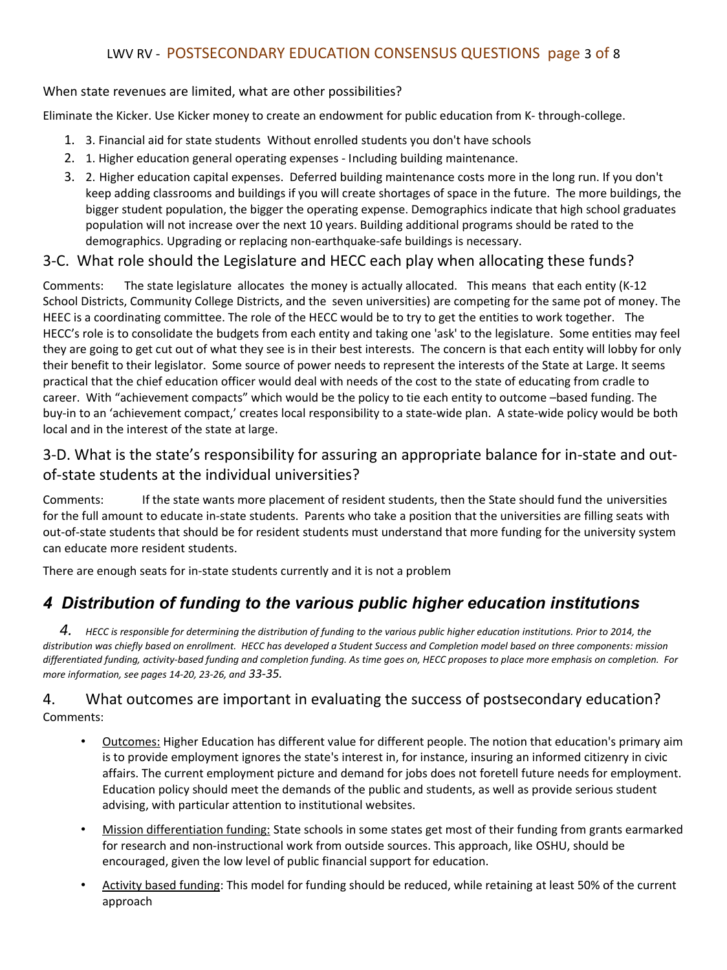# LWV RV - POSTSECONDARY EDUCATION CONSENSUS QUESTIONS page 3 of 8

#### When state revenues are limited, what are other possibilities?

Eliminate the Kicker. Use Kicker money to create an endowment for public education from K- through-college.

- 1. 3. Financial aid for state students Without enrolled students you don't have schools
- 2. 1. Higher education general operating expenses Including building maintenance.
- 3. 2. Higher education capital expenses. Deferred building maintenance costs more in the long run. If you don't keep adding classrooms and buildings if you will create shortages of space in the future. The more buildings, the bigger student population, the bigger the operating expense. Demographics indicate that high school graduates population will not increase over the next 10 years. Building additional programs should be rated to the demographics. Upgrading or replacing non-earthquake-safe buildings is necessary.

### 3-C. What role should the Legislature and HECC each play when allocating these funds?

Comments: The state legislature allocates the money is actually allocated. This means that each entity (K-12 School Districts, Community College Districts, and the seven universities) are competing for the same pot of money. The HEEC is a coordinating committee. The role of the HECC would be to try to get the entities to work together. The HECC's role is to consolidate the budgets from each entity and taking one 'ask' to the legislature. Some entities may feel they are going to get cut out of what they see is in their best interests. The concern is that each entity will lobby for only their benefit to their legislator. Some source of power needs to represent the interests of the State at Large. It seems practical that the chief education officer would deal with needs of the cost to the state of educating from cradle to career. With "achievement compacts" which would be the policy to tie each entity to outcome –based funding. The buy-in to an 'achievement compact,' creates local responsibility to a state-wide plan. A state-wide policy would be both local and in the interest of the state at large.

# 3-D. What is the state's responsibility for assuring an appropriate balance for in-state and outof-state students at the individual universities?

Comments: If the state wants more placement of resident students, then the State should fund the universities for the full amount to educate in-state students. Parents who take a position that the universities are filling seats with out-of-state students that should be for resident students must understand that more funding for the university system can educate more resident students.

There are enough seats for in-state students currently and it is not a problem

# *4 Distribution of funding to the various public higher education institutions*

*4. HECC is responsible for determining the distribution of funding to the various public higher education institutions. Prior to 2014, the distribution was chiefly based on enrollment. HECC has developed a Student Success and Completion model based on three components: mission differentiated funding, activity-based funding and completion funding. As time goes on, HECC proposes to place more emphasis on completion. For more information, see pages 14-20, 23-26, and 33-35.*

### 4. What outcomes are important in evaluating the success of postsecondary education? Comments:

- Outcomes: Higher Education has different value for different people. The notion that education's primary aim is to provide employment ignores the state's interest in, for instance, insuring an informed citizenry in civic affairs. The current employment picture and demand for jobs does not foretell future needs for employment. Education policy should meet the demands of the public and students, as well as provide serious student advising, with particular attention to institutional websites.
- Mission differentiation funding: State schools in some states get most of their funding from grants earmarked for research and non-instructional work from outside sources. This approach, like OSHU, should be encouraged, given the low level of public financial support for education.
- Activity based funding: This model for funding should be reduced, while retaining at least 50% of the current approach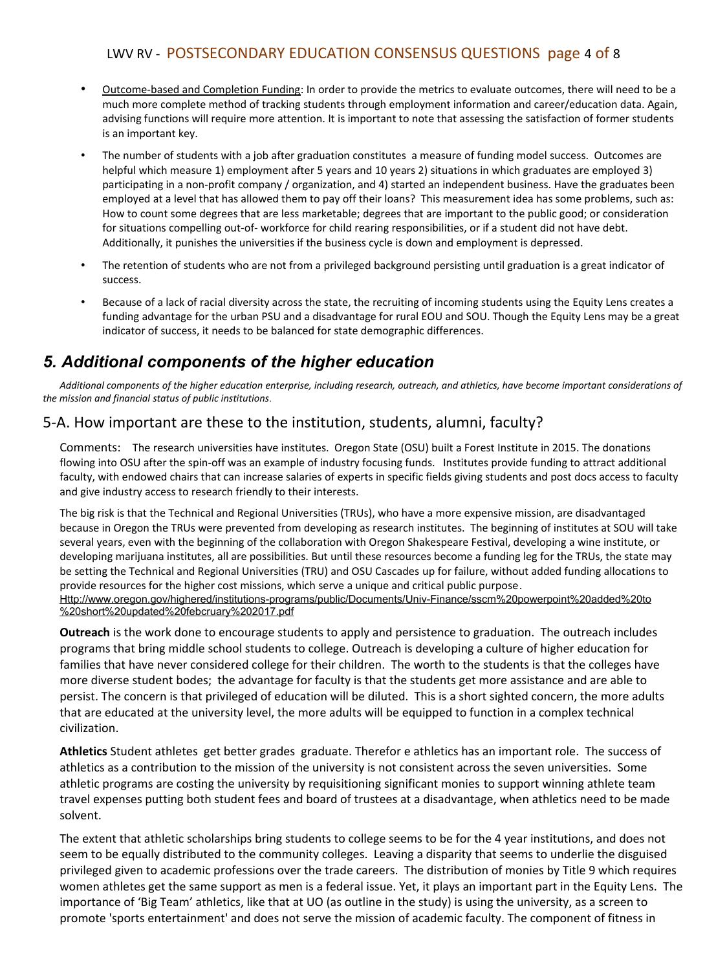# LWV RV - POSTSECONDARY EDUCATION CONSENSUS QUESTIONS page 4 of 8

- Outcome-based and Completion Funding: In order to provide the metrics to evaluate outcomes, there will need to be a much more complete method of tracking students through employment information and career/education data. Again, advising functions will require more attention. It is important to note that assessing the satisfaction of former students is an important key.
- The number of students with a job after graduation constitutes a measure of funding model success. Outcomes are helpful which measure 1) employment after 5 years and 10 years 2) situations in which graduates are employed 3) participating in a non-profit company / organization, and 4) started an independent business. Have the graduates been employed at a level that has allowed them to pay off their loans? This measurement idea has some problems, such as: How to count some degrees that are less marketable; degrees that are important to the public good; or consideration for situations compelling out-of- workforce for child rearing responsibilities, or if a student did not have debt. Additionally, it punishes the universities if the business cycle is down and employment is depressed.
- The retention of students who are not from a privileged background persisting until graduation is a great indicator of success.
- Because of a lack of racial diversity across the state, the recruiting of incoming students using the Equity Lens creates a funding advantage for the urban PSU and a disadvantage for rural EOU and SOU. Though the Equity Lens may be a great indicator of success, it needs to be balanced for state demographic differences.

# *5. Additional components of the higher education*

*Additional components of the higher education enterprise, including research, outreach, and athletics, have become important considerations of the mission and financial status of public institutions.*

## 5-A. How important are these to the institution, students, alumni, faculty?

Comments: The research universities have institutes. Oregon State (OSU) built a Forest Institute in 2015. The donations flowing into OSU after the spin-off was an example of industry focusing funds. Institutes provide funding to attract additional faculty, with endowed chairs that can increase salaries of experts in specific fields giving students and post docs access to faculty and give industry access to research friendly to their interests.

The big risk is that the Technical and Regional Universities (TRUs), who have a more expensive mission, are disadvantaged because in Oregon the TRUs were prevented from developing as research institutes. The beginning of institutes at SOU will take several years, even with the beginning of the collaboration with Oregon Shakespeare Festival, developing a wine institute, or developing marijuana institutes, all are possibilities. But until these resources become a funding leg for the TRUs, the state may be setting the Technical and Regional Universities (TRU) and OSU Cascades up for failure, without added funding allocations to provide resources for the higher cost missions, which serve a unique and critical public purpose. [Http://www.oregon.gov/highered/institutions-programs/public/Documents/Univ-Finance/sscm%20powerpoint%20added%20to](http://www.oregon.gov/highered/institutions-programs/public/Documents/Univ-Finance/sscm%20powerpoint%20added%20to%20short%20updated%20february%202017.pdf) [%20short%20updated%20febcruary%202017.pdf](http://www.oregon.gov/highered/institutions-programs/public/Documents/Univ-Finance/sscm%20powerpoint%20added%20to%20short%20updated%20february%202017.pdf)

**Outreach** is the work done to encourage students to apply and persistence to graduation. The outreach includes programs that bring middle school students to college. Outreach is developing a culture of higher education for families that have never considered college for their children. The worth to the students is that the colleges have more diverse student bodes; the advantage for faculty is that the students get more assistance and are able to persist. The concern is that privileged of education will be diluted. This is a short sighted concern, the more adults that are educated at the university level, the more adults will be equipped to function in a complex technical civilization.

**Athletics** Student athletes get better grades graduate. Therefor e athletics has an important role. The success of athletics as a contribution to the mission of the university is not consistent across the seven universities. Some athletic programs are costing the university by requisitioning significant monies to support winning athlete team travel expenses putting both student fees and board of trustees at a disadvantage, when athletics need to be made solvent.

The extent that athletic scholarships bring students to college seems to be for the 4 year institutions, and does not seem to be equally distributed to the community colleges. Leaving a disparity that seems to underlie the disguised privileged given to academic professions over the trade careers. The distribution of monies by Title 9 which requires women athletes get the same support as men is a federal issue. Yet, it plays an important part in the Equity Lens. The importance of 'Big Team' athletics, like that at UO (as outline in the study) is using the university, as a screen to promote 'sports entertainment' and does not serve the mission of academic faculty. The component of fitness in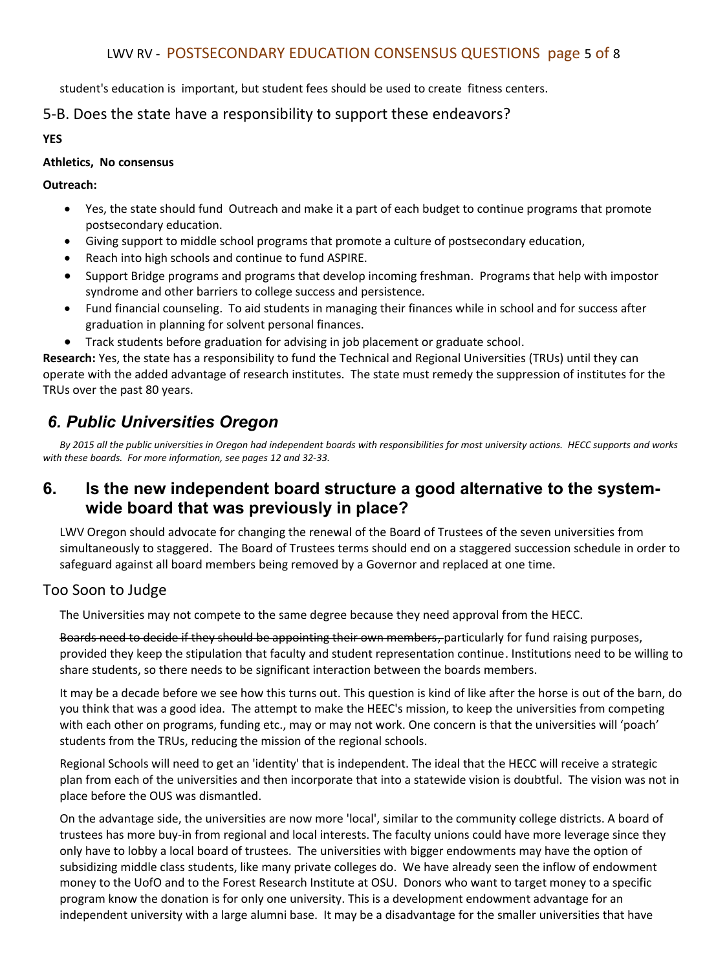### LWV RV - POSTSECONDARY EDUCATION CONSENSUS QUESTIONS page 5 of 8

student's education is important, but student fees should be used to create fitness centers.

### 5-B. Does the state have a responsibility to support these endeavors?

**YES**

#### **Athletics, No consensus**

#### **Outreach:**

- Yes, the state should fund Outreach and make it a part of each budget to continue programs that promote postsecondary education.
- Giving support to middle school programs that promote a culture of postsecondary education,
- Reach into high schools and continue to fund ASPIRE.
- Support Bridge programs and programs that develop incoming freshman. Programs that help with impostor syndrome and other barriers to college success and persistence.
- Fund financial counseling. To aid students in managing their finances while in school and for success after graduation in planning for solvent personal finances.
- Track students before graduation for advising in job placement or graduate school.

**Research:** Yes, the state has a responsibility to fund the Technical and Regional Universities (TRUs) until they can operate with the added advantage of research institutes. The state must remedy the suppression of institutes for the TRUs over the past 80 years.

# *6. Public Universities Oregon*

*By 2015 all the public universities in Oregon had independent boards with responsibilities for most university actions. HECC supports and works with these boards. For more information, see pages 12 and 32-33.*

# **6. Is the new independent board structure a good alternative to the systemwide board that was previously in place?**

LWV Oregon should advocate for changing the renewal of the Board of Trustees of the seven universities from simultaneously to staggered. The Board of Trustees terms should end on a staggered succession schedule in order to safeguard against all board members being removed by a Governor and replaced at one time.

### Too Soon to Judge

The Universities may not compete to the same degree because they need approval from the HECC.

Boards need to decide if they should be appointing their own members, particularly for fund raising purposes, provided they keep the stipulation that faculty and student representation continue. Institutions need to be willing to share students, so there needs to be significant interaction between the boards members.

It may be a decade before we see how this turns out. This question is kind of like after the horse is out of the barn, do you think that was a good idea. The attempt to make the HEEC's mission, to keep the universities from competing with each other on programs, funding etc., may or may not work. One concern is that the universities will 'poach' students from the TRUs, reducing the mission of the regional schools.

Regional Schools will need to get an 'identity' that is independent. The ideal that the HECC will receive a strategic plan from each of the universities and then incorporate that into a statewide vision is doubtful. The vision was not in place before the OUS was dismantled.

On the advantage side, the universities are now more 'local', similar to the community college districts. A board of trustees has more buy-in from regional and local interests. The faculty unions could have more leverage since they only have to lobby a local board of trustees. The universities with bigger endowments may have the option of subsidizing middle class students, like many private colleges do. We have already seen the inflow of endowment money to the UofO and to the Forest Research Institute at OSU. Donors who want to target money to a specific program know the donation is for only one university. This is a development endowment advantage for an independent university with a large alumni base. It may be a disadvantage for the smaller universities that have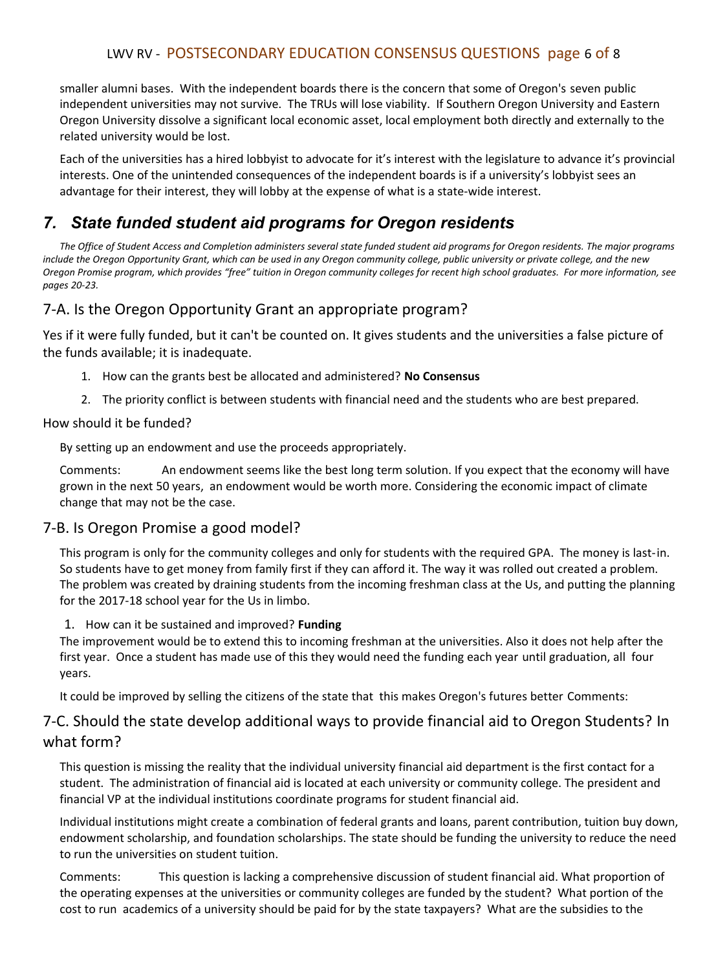## LWV RV - POSTSECONDARY EDUCATION CONSENSUS QUESTIONS page 6 of 8

smaller alumni bases. With the independent boards there is the concern that some of Oregon's seven public independent universities may not survive. The TRUs will lose viability. If Southern Oregon University and Eastern Oregon University dissolve a significant local economic asset, local employment both directly and externally to the related university would be lost.

Each of the universities has a hired lobbyist to advocate for it's interest with the legislature to advance it's provincial interests. One of the unintended consequences of the independent boards is if a university's lobbyist sees an advantage for their interest, they will lobby at the expense of what is a state-wide interest.

# *7. State funded student aid programs for Oregon residents*

*The Office of Student Access and Completion administers several state funded student aid programs for Oregon residents. The major programs include the Oregon Opportunity Grant, which can be used in any Oregon community college, public university or private college, and the new Oregon Promise program, which provides "free" tuition in Oregon community colleges for recent high school graduates. For more information, see pages 20-23.*

### 7-A. Is the Oregon Opportunity Grant an appropriate program?

Yes if it were fully funded, but it can't be counted on. It gives students and the universities a false picture of the funds available; it is inadequate.

- 1. How can the grants best be allocated and administered? **No Consensus**
- 2. The priority conflict is between students with financial need and the students who are best prepared.

#### How should it be funded?

By setting up an endowment and use the proceeds appropriately.

Comments: An endowment seems like the best long term solution. If you expect that the economy will have grown in the next 50 years, an endowment would be worth more. Considering the economic impact of climate change that may not be the case.

### 7-B. Is Oregon Promise a good model?

This program is only for the community colleges and only for students with the required GPA. The money is last-in. So students have to get money from family first if they can afford it. The way it was rolled out created a problem. The problem was created by draining students from the incoming freshman class at the Us, and putting the planning for the 2017-18 school year for the Us in limbo.

#### 1. How can it be sustained and improved? **Funding**

The improvement would be to extend this to incoming freshman at the universities. Also it does not help after the first year. Once a student has made use of this they would need the funding each year until graduation, all four years.

It could be improved by selling the citizens of the state that this makes Oregon's futures better Comments:

### 7-C. Should the state develop additional ways to provide financial aid to Oregon Students? In what form?

This question is missing the reality that the individual university financial aid department is the first contact for a student. The administration of financial aid is located at each university or community college. The president and financial VP at the individual institutions coordinate programs for student financial aid.

Individual institutions might create a combination of federal grants and loans, parent contribution, tuition buy down, endowment scholarship, and foundation scholarships. The state should be funding the university to reduce the need to run the universities on student tuition.

Comments: This question is lacking a comprehensive discussion of student financial aid. What proportion of the operating expenses at the universities or community colleges are funded by the student? What portion of the cost to run academics of a university should be paid for by the state taxpayers? What are the subsidies to the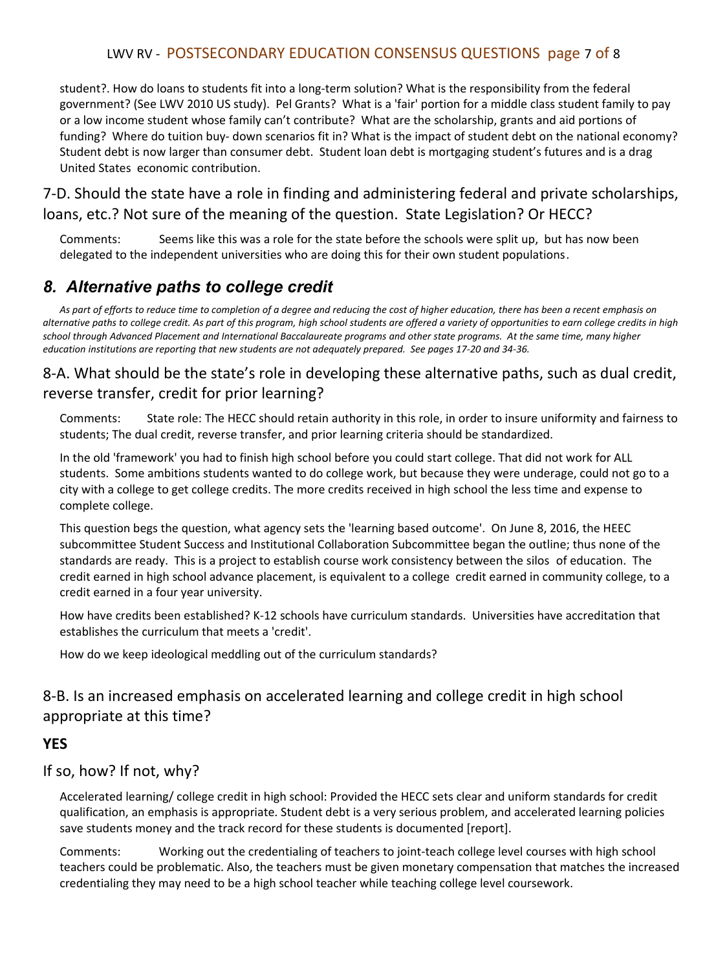## LWV RV - POSTSECONDARY EDUCATION CONSENSUS QUESTIONS page 7 of 8

student?. How do loans to students fit into a long-term solution? What is the responsibility from the federal government? (See LWV 2010 US study). Pel Grants? What is a 'fair' portion for a middle class student family to pay or a low income student whose family can't contribute? What are the scholarship, grants and aid portions of funding? Where do tuition buy- down scenarios fit in? What is the impact of student debt on the national economy? Student debt is now larger than consumer debt. Student loan debt is mortgaging student's futures and is a drag United States economic contribution.

# 7-D. Should the state have a role in finding and administering federal and private scholarships, loans, etc.? Not sure of the meaning of the question. State Legislation? Or HECC?

Comments: Seems like this was a role for the state before the schools were split up, but has now been delegated to the independent universities who are doing this for their own student populations.

# *8. Alternative paths to college credit*

*As part of efforts to reduce time to completion of a degree and reducing the cost of higher education, there has been a recent emphasis on alternative paths to college credit. As part of this program, high school students are offered a variety of opportunities to earn college credits in high school through Advanced Placement and International Baccalaureate programs and other state programs. At the same time, many higher education institutions are reporting that new students are not adequately prepared. See pages 17-20 and 34-36.*

# 8-A. What should be the state's role in developing these alternative paths, such as dual credit, reverse transfer, credit for prior learning?

Comments: State role: The HECC should retain authority in this role, in order to insure uniformity and fairness to students; The dual credit, reverse transfer, and prior learning criteria should be standardized.

In the old 'framework' you had to finish high school before you could start college. That did not work for ALL students. Some ambitions students wanted to do college work, but because they were underage, could not go to a city with a college to get college credits. The more credits received in high school the less time and expense to complete college.

This question begs the question, what agency sets the 'learning based outcome'. On June 8, 2016, the HEEC subcommittee Student Success and Institutional Collaboration Subcommittee began the outline; thus none of the standards are ready. This is a project to establish course work consistency between the silos of education. The credit earned in high school advance placement, is equivalent to a college credit earned in community college, to a credit earned in a four year university.

How have credits been established? K-12 schools have curriculum standards. Universities have accreditation that establishes the curriculum that meets a 'credit'.

How do we keep ideological meddling out of the curriculum standards?

# 8-B. Is an increased emphasis on accelerated learning and college credit in high school appropriate at this time?

### **YES**

### If so, how? If not, why?

Accelerated learning/ college credit in high school: Provided the HECC sets clear and uniform standards for credit qualification, an emphasis is appropriate. Student debt is a very serious problem, and accelerated learning policies save students money and the track record for these students is documented [report].

Comments: Working out the credentialing of teachers to joint-teach college level courses with high school teachers could be problematic. Also, the teachers must be given monetary compensation that matches the increased credentialing they may need to be a high school teacher while teaching college level coursework.